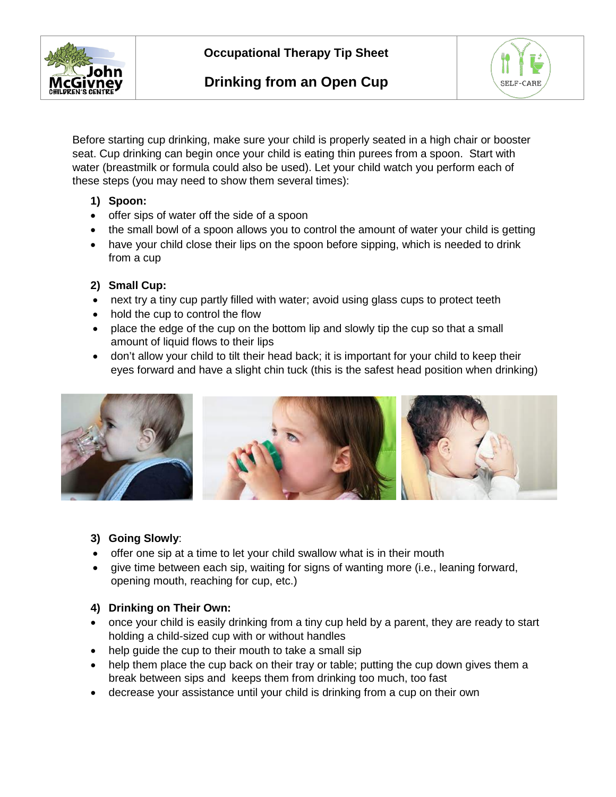



Before starting cup drinking, make sure your child is properly seated in a high chair or booster seat. Cup drinking can begin once your child is eating thin purees from a spoon. Start with water (breastmilk or formula could also be used). Let your child watch you perform each of these steps (you may need to show them several times):

## **1) Spoon:**

- offer sips of water off the side of a spoon
- the small bowl of a spoon allows you to control the amount of water your child is getting
- have your child close their lips on the spoon before sipping, which is needed to drink from a cup

## **2) Small Cup:**

- next try a tiny cup partly filled with water; avoid using glass cups to protect teeth
- hold the cup to control the flow
- place the edge of the cup on the bottom lip and slowly tip the cup so that a small amount of liquid flows to their lips
- don't allow your child to tilt their head back; it is important for your child to keep their eyes forward and have a slight chin tuck (this is the safest head position when drinking)



# **3) Going Slowly**:

- offer one sip at a time to let your child swallow what is in their mouth
- give time between each sip, waiting for signs of wanting more (i.e., leaning forward, opening mouth, reaching for cup, etc.)

# **4) Drinking on Their Own:**

- once your child is easily drinking from a tiny cup held by a parent, they are ready to start holding a child-sized cup with or without handles
- help guide the cup to their mouth to take a small sip
- help them place the cup back on their tray or table; putting the cup down gives them a break between sips and keeps them from drinking too much, too fast
- decrease your assistance until your child is drinking from a cup on their own